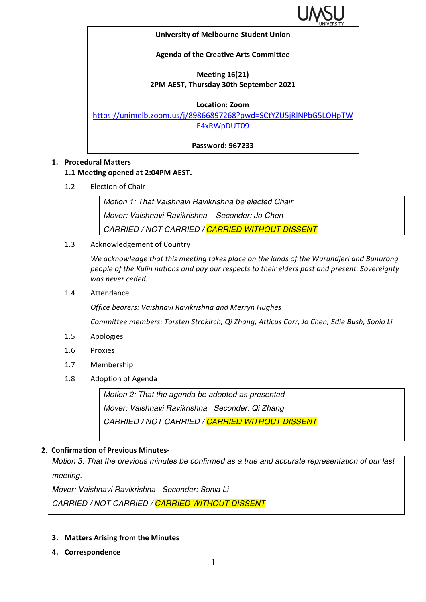

#### **University of Melbourne Student Union**

# **Agenda of the Creative Arts Committee**

# **Meeting 16(21) 2PM AEST, Thursday 30th September 2021**

### **Location: Zoom**

https://unimelb.zoom.us/j/89866897268?pwd=SCtYZU5jRlNPbG5LOHpTW E4xRWpDUT09

**Password: 967233**

## **1. Procedural Matters**

## **1.1 Meeting opened at 2:04PM AEST.**

1.2 Election of Chair

*Motion 1: That Vaishnavi Ravikrishna be elected Chair Mover: Vaishnavi Ravikrishna Seconder: Jo Chen CARRIED / NOT CARRIED / CARRIED WITHOUT DISSENT*

1.3 Acknowledgement of Country

We acknowledge that this meeting takes place on the lands of the Wurundjeri and Bunurong people of the Kulin nations and pay our respects to their elders past and present. Sovereignty *was never ceded.* 

1.4 Attendance

*Office bearers: Vaishnavi Ravikrishna and Merryn Hughes*

*Committee members: Torsten Strokirch, Qi Zhang, Atticus Corr, Jo Chen, Edie Bush, Sonia Li*

- 1.5 Apologies
- 1.6 Proxies
- 1.7 Membership
- 1.8 Adoption of Agenda

*Motion 2: That the agenda be adopted as presented Mover: Vaishnavi Ravikrishna Seconder: Qi Zhang CARRIED / NOT CARRIED / CARRIED WITHOUT DISSENT*

## **2. Confirmation of Previous Minutes-**

*Motion 3: That the previous minutes be confirmed as a true and accurate representation of our last meeting.*

*Mover: Vaishnavi Ravikrishna Seconder: Sonia Li*

*CARRIED / NOT CARRIED / CARRIED WITHOUT DISSENT*

## **3.** Matters Arising from the Minutes

**4. Correspondence**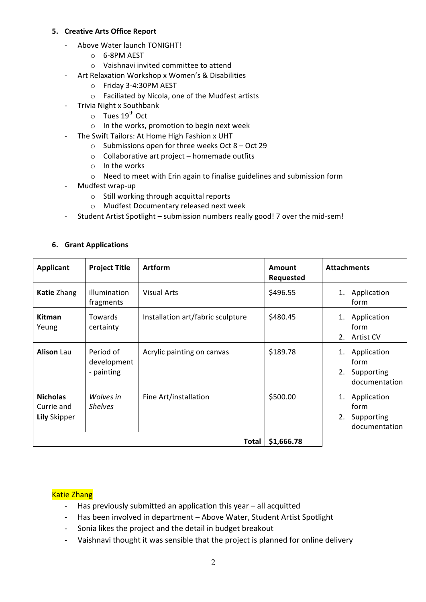## **5. Creative Arts Office Report**

- Above Water launch TONIGHT!
	- o 6-8PM AEST
	- $\circ$  Vaishnavi invited committee to attend
- Art Relaxation Workshop x Women's & Disabilities
	- o Friday 3-4:30PM AEST
	- $\circ$  Faciliated by Nicola, one of the Mudfest artists
- Trivia Night x Southbank
	- $\circ$  Tues 19<sup>th</sup> Oct
	- $\circ$  In the works, promotion to begin next week
- The Swift Tailors: At Home High Fashion x UHT
	- $\circ$  Submissions open for three weeks Oct 8 Oct 29
	- $\circ$  Collaborative art project homemade outfits
	- $\circ$  In the works
	- $\circ$  Need to meet with Erin again to finalise guidelines and submission form
- Mudfest wrap-up
	- $\circ$  Still working through acquittal reports
	- o Mudfest Documentary released next week
- Student Artist Spotlight submission numbers really good! 7 over the mid-sem!

| <b>Applicant</b>                                     | <b>Project Title</b>                   | <b>Artform</b>                    | <b>Amount</b><br>Requested | <b>Attachments</b>                                             |
|------------------------------------------------------|----------------------------------------|-----------------------------------|----------------------------|----------------------------------------------------------------|
| <b>Katie Zhang</b>                                   | illumination<br>fragments              | <b>Visual Arts</b>                | \$496.55                   | Application<br>1.<br>form                                      |
| <b>Kitman</b><br>Yeung                               | <b>Towards</b><br>certainty            | Installation art/fabric sculpture | \$480.45                   | Application<br>1.<br>form<br>2.<br>Artist CV                   |
| <b>Alison Lau</b>                                    | Period of<br>development<br>- painting | Acrylic painting on canvas        | \$189.78                   | Application<br>1.<br>form<br>2. Supporting<br>documentation    |
| <b>Nicholas</b><br>Currie and<br><b>Lily Skipper</b> | Wolves in<br><b>Shelves</b>            | Fine Art/installation             | \$500.00                   | Application<br>1.<br>form<br>2.<br>Supporting<br>documentation |
| \$1,666.78<br>Total                                  |                                        |                                   |                            |                                                                |

#### **6. Grant Applications**

## **Katie Zhang**

- Has previously submitted an application this year all acquitted
- Has been involved in department Above Water, Student Artist Spotlight
- Sonia likes the project and the detail in budget breakout
- Vaishnavi thought it was sensible that the project is planned for online delivery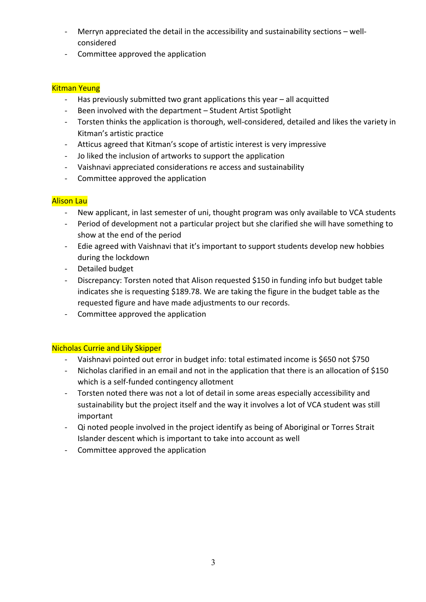- Merryn appreciated the detail in the accessibility and sustainability sections wellconsidered
- Committee approved the application

# Kitman Yeung

- Has previously submitted two grant applications this year all acquitted
- Been involved with the department Student Artist Spotlight
- Torsten thinks the application is thorough, well-considered, detailed and likes the variety in Kitman's artistic practice
- Atticus agreed that Kitman's scope of artistic interest is very impressive
- Jo liked the inclusion of artworks to support the application
- Vaishnavi appreciated considerations re access and sustainability
- Committee approved the application

# **Alison Lau**

- New applicant, in last semester of uni, thought program was only available to VCA students
- Period of development not a particular project but she clarified she will have something to show at the end of the period
- Edie agreed with Vaishnavi that it's important to support students develop new hobbies during the lockdown
- Detailed budget
- Discrepancy: Torsten noted that Alison requested \$150 in funding info but budget table indicates she is requesting \$189.78. We are taking the figure in the budget table as the requested figure and have made adjustments to our records.
- Committee approved the application

# **Nicholas Currie and Lily Skipper**

- Vaishnavi pointed out error in budget info: total estimated income is \$650 not \$750
- Nicholas clarified in an email and not in the application that there is an allocation of \$150 which is a self-funded contingency allotment
- Torsten noted there was not a lot of detail in some areas especially accessibility and sustainability but the project itself and the way it involves a lot of VCA student was still important
- Qi noted people involved in the project identify as being of Aboriginal or Torres Strait Islander descent which is important to take into account as well
- Committee approved the application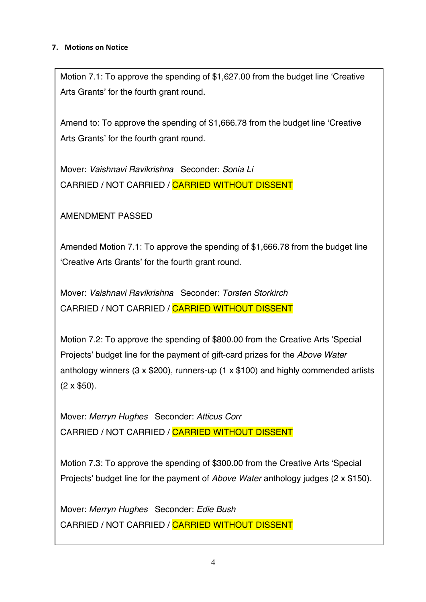# **7. Motions on Notice**

Motion 7.1: To approve the spending of \$1,627.00 from the budget line 'Creative Arts Grants' for the fourth grant round.

Amend to: To approve the spending of \$1,666.78 from the budget line 'Creative Arts Grants' for the fourth grant round.

Mover: *Vaishnavi Ravikrishna* Seconder: *Sonia Li* CARRIED / NOT CARRIED / CARRIED WITHOUT DISSENT

AMENDMENT PASSED

Amended Motion 7.1: To approve the spending of \$1,666.78 from the budget line 'Creative Arts Grants' for the fourth grant round.

Mover: *Vaishnavi Ravikrishna* Seconder: *Torsten Storkirch* CARRIED / NOT CARRIED / CARRIED WITHOUT DISSENT

Motion 7.2: To approve the spending of \$800.00 from the Creative Arts 'Special Projects' budget line for the payment of gift-card prizes for the *Above Water*  anthology winners (3 x \$200), runners-up (1 x \$100) and highly commended artists  $(2 \times $50)$ .

Mover: *Merryn Hughes* Seconder: *Atticus Corr* CARRIED / NOT CARRIED / CARRIED WITHOUT DISSENT

Motion 7.3: To approve the spending of \$300.00 from the Creative Arts 'Special Projects' budget line for the payment of *Above Water* anthology judges (2 x \$150).

Mover: *Merryn Hughes* Seconder: *Edie Bush* CARRIED / NOT CARRIED / CARRIED WITHOUT DISSENT